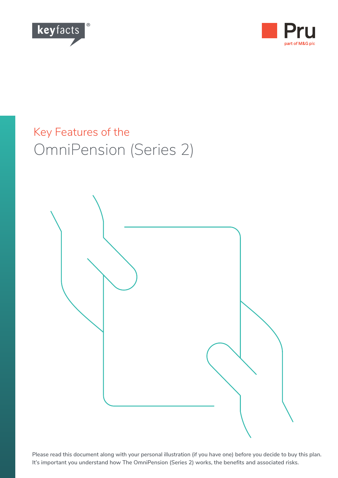



# Key Features of the OmniPension (Series 2)



**Please read this document along with your personal illustration (if you have one) before you decide to buy this plan. It's important you understand how The OmniPension (Series 2) works, the benefits and associated risks.**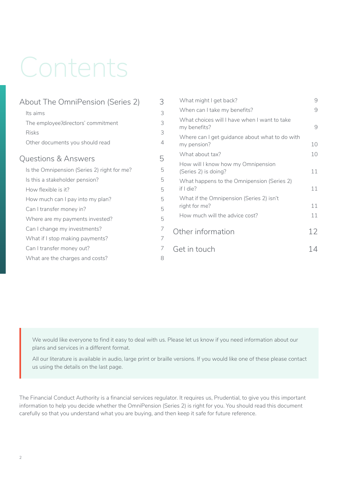# Contents

| About The OmniPension (Series 2)            | 3 |            |
|---------------------------------------------|---|------------|
| Its aims                                    | 3 |            |
| The employee'/directors' commitment         | 3 |            |
| <b>Risks</b>                                | 3 |            |
| Other documents you should read             | 4 |            |
| <b>Questions &amp; Answers</b>              | 5 |            |
| Is the Omnipension (Series 2) right for me? | 5 |            |
| Is this a stakeholder pension?              | 5 |            |
| How flexible is it?                         | 5 |            |
| How much can I pay into my plan?            | 5 |            |
| Can I transfer money in?                    | 5 |            |
| Where are my payments invested?             | 5 |            |
| Can I change my investments?                | 7 |            |
| What if I stop making payments?             | 7 |            |
| Can I transfer money out?                   | 7 | $\neg \in$ |
| What are the charges and costs?             | 8 |            |
|                                             |   |            |

| What might I get back?                                        | 9  |
|---------------------------------------------------------------|----|
| When can I take my benefits?                                  | 9  |
| What choices will I have when I want to take<br>my benefits?  | 9  |
| Where can I get guidance about what to do with<br>my pension? | 10 |
| What about tax?                                               | 10 |
| How will I know how my Omnipension<br>(Series 2) is doing?    | 11 |
| What happens to the Omnipension (Series 2)<br>if $Idie$ ?     | 11 |
| What if the Omnipension (Series 2) isn't<br>right for me?     | 11 |
| How much will the advice cost?                                | 11 |
| Other information                                             | 12 |
| Get in touch                                                  |    |
|                                                               |    |

We would like everyone to find it easy to deal with us. Please let us know if you need information about our plans and services in a different format.

All our literature is available in audio, large print or braille versions. If you would like one of these please contact us using the details on the last page.

The Financial Conduct Authority is a financial services regulator. It requires us, Prudential, to give you this important information to help you decide whether the OmniPension (Series 2) is right for you. You should read this document carefully so that you understand what you are buying, and then keep it safe for future reference.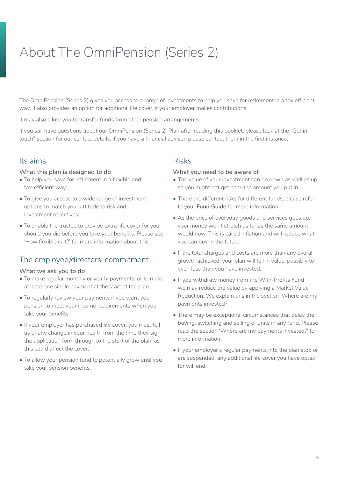# <span id="page-2-0"></span>About The OmniPension (Series 2)

The OmniPension (Series 2) gives you access to a range of investments to help you save for retirement in a tax efficient way. It also provides an option for additional life cover, if your employer makes contributions.

It may also allow you to transfer funds from other pension arrangements.

If you still have questions about our OmniPension (Series 2) Plan after reading this booklet, please look at the "Get in touch" section for our contact details. If you have a financial adviser, please contact them in the first instance.

## Its aims

#### **What this plan is designed to do**

- To help you save for retirement in a flexible and tax-efficient way.
- To give you access to a wide range of investment options to match your attitude to risk and investment objectives.
- To enable the trustee to provide extra life cover for you should you die before you take your benefits. Please see 'How flexible is it?' for more information about this.

## The employee'/directors' commitment

#### **What we ask you to do**

- To make regular monthly or yearly payments, or to make at least one single payment at the start of the plan.
- To regularly review your payments if you want your pension to meet your income requirements when you take your benefits.
- If your employer has purchased life cover, you must tell us of any change in your health from the time they sign the application form through to the start of the plan, as this could affect the cover.
- To allow your pension fund to potentially grow until you take your pension benefits.

## Risks

#### **What you need to be aware of**

- The value of your investment can go down as well as up so you might not get back the amount you put in.
- There are different risks for different funds, please refer to your **Fund Guide** for more information.
- As the price of everyday goods and services goes up, your money won't stretch as far as the same amount would now. This is called inflation and will reduce what you can buy in the future.
- If the total charges and costs are more than any overall growth achieved, your plan will fall in value, possibly to even less than you have invested.
- If you withdraw money from the With-Profits Fund we may reduce the value by applying a Market Value Reduction. We explain this in the section 'Where are my payments invested?'.
- There may be exceptional circumstances that delay the buying, switching and selling of units in any fund. Please read the section 'Where are my payments invested?' for more information.
- If your employer's regular payments into the plan stop or are suspended, any additional life cover you have opted for will end.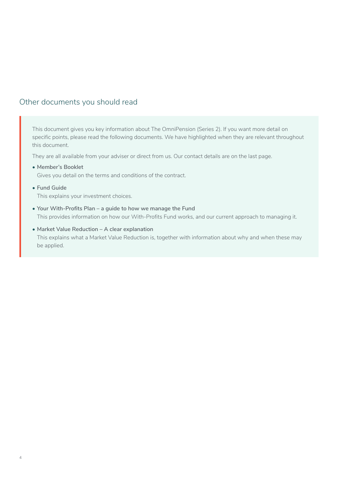## <span id="page-3-0"></span>Other documents you should read

This document gives you key information about The OmniPension (Series 2). If you want more detail on specific points, please read the following documents. We have highlighted when they are relevant throughout this document.

They are all available from your adviser or direct from us. Our contact details are on the last page.

**• Member's Booklet**

Gives you detail on the terms and conditions of the contract.

**• Fund Guide**

This explains your investment choices.

- **• Your With-Profits Plan a guide to how we manage the Fund** This provides information on how our With-Profits Fund works, and our current approach to managing it.
- **• Market Value Reduction A clear explanation** This explains what a Market Value Reduction is, together with information about why and when these may be applied.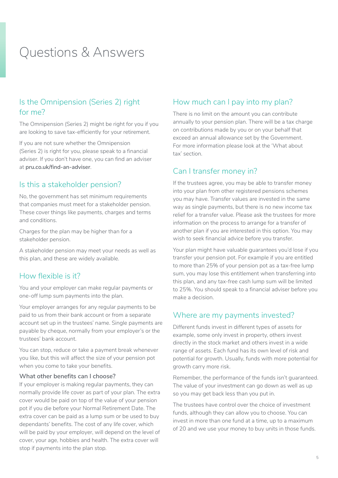## <span id="page-4-0"></span>Questions & Answers

## Is the Omnipension (Series 2) right for me?

The Omnipension (Series 2) might be right for you if you are looking to save tax-efficiently for your retirement.

If you are not sure whether the Omnipension (Series 2) is right for you, please speak to a financial adviser. If you don't have one, you can find an adviser at **pru.co.uk/find-an-adviser**.

## Is this a stakeholder pension?

No, the government has set minimum requirements that companies must meet for a stakeholder pension. These cover things like payments, charges and terms and conditions.

Charges for the plan may be higher than for a stakeholder pension.

A stakeholder pension may meet your needs as well as this plan, and these are widely available.

## How flexible is it?

You and your employer can make regular payments or one-off lump sum payments into the plan.

Your employer arranges for any regular payments to be paid to us from their bank account or from a separate account set up in the trustees' name. Single payments are payable by cheque, normally from your employer's or the trustees' bank account.

You can stop, reduce or take a payment break whenever you like, but this will affect the size of your pension pot when you come to take your benefits.

#### **What other benefits can I choose?**

If your employer is making regular payments, they can normally provide life cover as part of your plan. The extra cover would be paid on top of the value of your pension pot if you die before your Normal Retirement Date. The extra cover can be paid as a lump sum or be used to buy dependants' benefits. The cost of any life cover, which will be paid by your employer, will depend on the level of cover, your age, hobbies and health. The extra cover will stop if payments into the plan stop.

## How much can I pay into my plan?

There is no limit on the amount you can contribute annually to your pension plan. There will be a tax charge on contributions made by you or on your behalf that exceed an annual allowance set by the Government. For more information please look at the 'What about tax' section.

## Can I transfer money in?

If the trustees agree, you may be able to transfer money into your plan from other registered pensions schemes you may have. Transfer values are invested in the same way as single payments, but there is no new income tax relief for a transfer value. Please ask the trustees for more information on the process to arrange for a transfer of another plan if you are interested in this option. You may wish to seek financial advice before you transfer.

Your plan might have valuable guarantees you'd lose if you transfer your pension pot. For example if you are entitled to more than 25% of your pension pot as a tax-free lump sum, you may lose this entitlement when transferring into this plan, and any tax-free cash lump sum will be limited to 25%. You should speak to a financial adviser before you make a decision.

## Where are my payments invested?

Different funds invest in different types of assets for example, some only invest in property, others invest directly in the stock market and others invest in a wide range of assets. Each fund has its own level of risk and potential for growth. Usually, funds with more potential for growth carry more risk.

Remember, the performance of the funds isn't guaranteed. The value of your investment can go down as well as up so you may get back less than you put in.

The trustees have control over the choice of investment funds, although they can allow you to choose. You can invest in more than one fund at a time, up to a maximum of 20 and we use your money to buy units in those funds.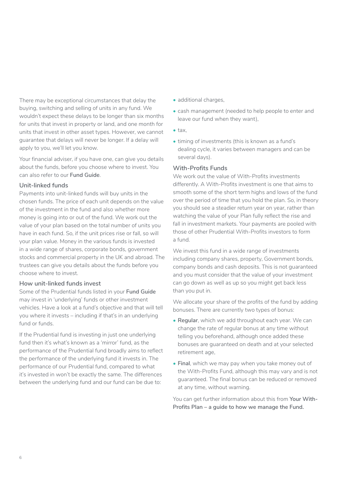There may be exceptional circumstances that delay the buying, switching and selling of units in any fund. We wouldn't expect these delays to be longer than six months for units that invest in property or land, and one month for units that invest in other asset types. However, we cannot guarantee that delays will never be longer. If a delay will apply to you, we'll let you know.

Your financial adviser, if you have one, can give you details about the funds, before you choose where to invest. You can also refer to our **Fund Guide**.

#### **Unit-linked funds**

Payments into unit-linked funds will buy units in the chosen funds. The price of each unit depends on the value of the investment in the fund and also whether more money is going into or out of the fund. We work out the value of your plan based on the total number of units you have in each fund. So, if the unit prices rise or fall, so will your plan value. Money in the various funds is invested in a wide range of shares, corporate bonds, government stocks and commercial property in the UK and abroad. The trustees can give you details about the funds before you choose where to invest.

## **How unit-linked funds invest**

Some of the Prudential funds listed in your **Fund Guide** may invest in 'underlying' funds or other investment vehicles. Have a look at a fund's objective and that will tell you where it invests – including if that's in an underlying fund or funds.

If the Prudential fund is investing in just one underlying fund then it's what's known as a 'mirror' fund, as the performance of the Prudential fund broadly aims to reflect the performance of the underlying fund it invests in. The performance of our Prudential fund, compared to what it's invested in won't be exactly the same. The differences between the underlying fund and our fund can be due to:

- additional charges,
- cash management (needed to help people to enter and leave our fund when they want),
- $\bullet$  tax.
- timing of investments (this is known as a fund's dealing cycle, it varies between managers and can be several days).

## **With-Profits Funds**

We work out the value of With-Profits investments differently. A With-Profits investment is one that aims to smooth some of the short term highs and lows of the fund over the period of time that you hold the plan. So, in theory you should see a steadier return year on year, rather than watching the value of your Plan fully reflect the rise and fall in investment markets. Your payments are pooled with those of other Prudential With-Profits investors to form a fund.

We invest this fund in a wide range of investments including company shares, property, Government bonds, company bonds and cash deposits. This is not guaranteed and you must consider that the value of your investment can go down as well as up so you might get back less than you put in.

We allocate your share of the profits of the fund by adding bonuses. There are currently two types of bonus:

- **Regular**, which we add throughout each year. We can change the rate of regular bonus at any time without telling you beforehand, although once added these bonuses are guaranteed on death and at your selected retirement age,
- **Final**, which we may pay when you take money out of the With-Profits Fund, although this may vary and is not guaranteed. The final bonus can be reduced or removed at any time, without warning.

You can get further information about this from **Your With-Profits Plan – a guide to how we manage the Fund.**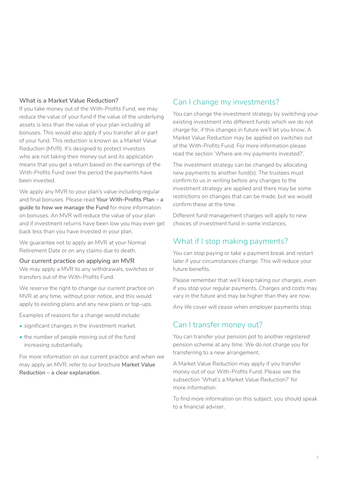#### <span id="page-6-0"></span>**What is a Market Value Reduction?**

If you take money out of the With-Profits Fund, we may reduce the value of your fund if the value of the underlying assets is less than the value of your plan including all bonuses. This would also apply if you transfer all or part of your fund. This reduction is known as a Market Value Reduction (MVR). It's designed to protect investors who are not taking their money out and its application means that you get a return based on the earnings of the With-Profits Fund over the period the payments have been invested.

We apply any MVR to your plan's value including regular and final bonuses. Please read **Your With-Profits Plan – a guide to how we manage the Fund** for more information on bonuses. An MVR will reduce the value of your plan and if investment returns have been low you may even get back less than you have invested in your plan.

We guarantee not to apply an MVR at your Normal Retirement Date or on any claims due to death.

#### **Our current practice on applying an MVR**

We may apply a MVR to any withdrawals, switches or transfers out of the With-Profits Fund.

We reserve the right to change our current practice on MVR at any time, without prior notice, and this would apply to existing plans and any new plans or top-ups.

Examples of reasons for a change would include:

- significant changes in the investment market.
- the number of people moving out of the fund increasing substantially.

For more information on our current practice and when we may apply an MVR, refer to our brochure **Market Value Reduction – a clear explanation**.

## Can I change my investments?

You can change the investment strategy by switching your existing investment into different funds which we do not charge for, if this changes in future we'll let you know. A Market Value Reduction may be applied on switches out of the With-Profits Fund. For more information please read the section 'Where are my payments invested?'.

The investment strategy can be changed by allocating new payments to another fund(s). The trustees must confirm to us in writing before any changes to the investment strategy are applied and there may be some restrictions on changes that can be made, but we would confirm these at the time.

Different fund management charges will apply to new choices of investment fund in some instances.

## What if I stop making payments?

You can stop paying or take a payment break and restart later if your circumstances change. This will reduce your future benefits.

Please remember that we'll keep taking our charges, even if you stop your regular payments. Charges and costs may vary in the future and may be higher than they are now.

Any life cover will cease when employer payments stop.

## Can I transfer money out?

You can transfer your pension pot to another registered pension scheme at any time. We do not charge you for transferring to a new arrangement.

A Market Value Reduction may apply if you transfer money out of our With-Profits Fund. Please see the subsection 'What's a Market Value Reduction?' for more information.

To find more information on this subject, you should speak to a financial adviser.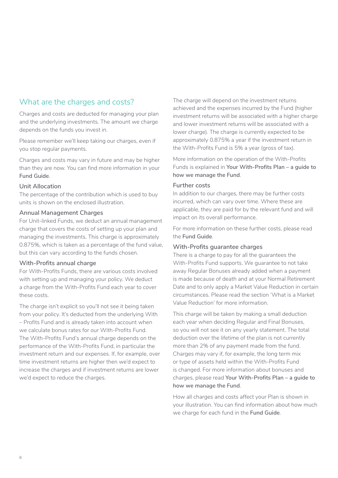## <span id="page-7-0"></span>What are the charges and costs?

Charges and costs are deducted for managing your plan and the underlying investments. The amount we charge depends on the funds you invest in.

Please remember we'll keep taking our charges, even if you stop regular payments.

Charges and costs may vary in future and may be higher than they are now. You can find more information in your **Fund Guide**.

#### **Unit Allocation**

The percentage of the contribution which is used to buy units is shown on the enclosed illustration.

#### **Annual Management Charges**

For Unit-linked Funds, we deduct an annual management charge that covers the costs of setting up your plan and managing the investments. This charge is approximately 0.875%, which is taken as a percentage of the fund value, but this can vary according to the funds chosen.

#### **With-Profits annual charge**

For With-Profits Funds, there are various costs involved with setting up and managing your policy. We deduct a charge from the With-Profits Fund each year to cover these costs.

The charge isn't explicit so you'll not see it being taken from your policy. It's deducted from the underlying With – Profits Fund and is already taken into account when we calculate bonus rates for our With-Profits Fund. The With-Profits Fund's annual charge depends on the performance of the With-Profits Fund, in particular the investment return and our expenses. If, for example, over time investment returns are higher then we'd expect to increase the charges and if investment returns are lower we'd expect to reduce the charges.

The charge will depend on the investment returns achieved and the expenses incurred by the Fund (higher investment returns will be associated with a higher charge and lower investment returns will be associated with a lower charge). The charge is currently expected to be approximately 0.875% a year if the investment return in the With-Profits Fund is 5% a year (gross of tax).

More information on the operation of the With-Profits Funds is explained in **Your With-Profits Plan – a guide to how we manage the Fund**.

#### **Further costs**

In addition to our charges, there may be further costs incurred, which can vary over time. Where these are applicable, they are paid for by the relevant fund and will impact on its overall performance.

For more information on these further costs, please read the **Fund Guide**.

#### **With-Profits guarantee charges**

There is a charge to pay for all the guarantees the With-Profits Fund supports. We guarantee to not take away Regular Bonuses already added when a payment is made because of death and at your Normal Retirement Date and to only apply a Market Value Reduction in certain circumstances. Please read the section 'What is a Market Value Reduction' for more information.

This charge will be taken by making a small deduction each year when deciding Regular and Final Bonuses, so you will not see it on any yearly statement. The total deduction over the lifetime of the plan is not currently more than 2% of any payment made from the fund. Charges may vary if, for example, the long term mix or type of assets held within the With-Profits Fund is changed. For more information about bonuses and charges, please read **Your With-Profits Plan – a guide to how we manage the Fund**.

How all charges and costs affect your Plan is shown in your illustration. You can find information about how much we charge for each fund in the **Fund Guide**.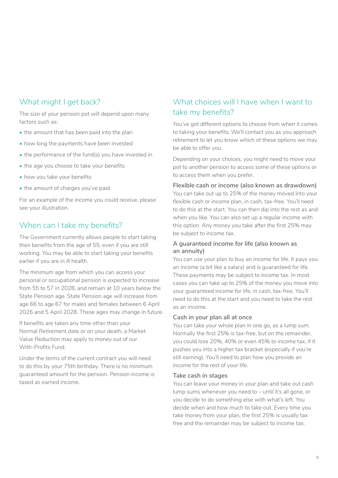## <span id="page-8-0"></span>What might I get back?

The size of your pension pot will depend upon many factors such as:

- the amount that has been paid into the plan
- how long the payments have been invested
- the performance of the fund(s) you have invested in
- the age you choose to take your benefits
- how you take your benefits
- the amount of charges you've paid.

For an example of the income you could receive, please see your illustration.

## When can I take my benefits?

The Government currently allows people to start taking their benefits from the age of 55, even if you are still working. You may be able to start taking your benefits earlier if you are in ill health.

The minimum age from which you can access your personal or occupational pension is expected to increase from 55 to 57 in 2028, and remain at 10 years below the State Pension age. State Pension age will increase from age 66 to age 67 for males and females between 6 April 2026 and 5 April 2028. These ages may change in future.

If benefits are taken any time other than your Normal Retirement date or on your death, a Market Value Reduction may apply to money out of our With-Profits Fund.

Under the terms of the current contract you will need to do this by your 75th birthday. There is no minimum guaranteed amount for the pension. Pension income is taxed as earned income.

## What choices will I have when I want to take my benefits?

You've got different options to choose from when it comes to taking your benefits. We'll contact you as you approach retirement to let you know which of these options we may be able to offer you.

Depending on your choices, you might need to move your pot to another pension to access some of these options or to access them when you prefer.

#### **Flexible cash or income (also known as drawdown)**

You can take out up to 25% of the money moved into your flexible cash or income plan, in cash, tax-free. You'll need to do this at the start. You can then dip into the rest as and when you like. You can also set up a regular income with this option. Any money you take after the first 25% may be subject to income tax.

## **A guaranteed income for life (also known as an annuity)**

You can use your plan to buy an income for life. It pays you an income (a bit like a salary) and is guaranteed for life. These payments may be subject to income tax. In most cases you can take up to 25% of the money you move into your guaranteed income for life, in cash, tax-free. You'll need to do this at the start and you need to take the rest as an income.

#### **Cash in your plan all at once**

You can take your whole plan in one go, as a lump sum. Normally the first 25% is tax-free, but on the remainder, you could lose 20%, 40% or even 45% to income tax, if it pushes you into a higher tax bracket (especially if you're still earning). You'll need to plan how you provide an income for the rest of your life.

#### **Take cash in stages**

You can leave your money in your plan and take out cash lump sums whenever you need to – until it's all gone, or you decide to do something else with what's left. You decide when and how much to take out. Every time you take money from your plan, the first 25% is usually tax free and the remainder may be subject to income tax.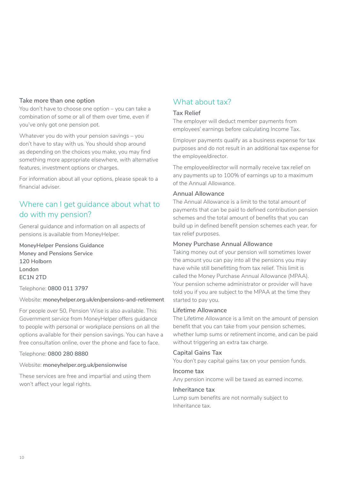#### <span id="page-9-0"></span>**Take more than one option**

You don't have to choose one option – you can take a combination of some or all of them over time, even if you've only got one pension pot.

Whatever you do with your pension savings – you don't have to stay with us. You should shop around as depending on the choices you make, you may find something more appropriate elsewhere, with alternative features, investment options or charges.

For information about all your options, please speak to a financial adviser.

## Where can I get guidance about what to do with my pension?

General guidance and information on all aspects of pensions is available from MoneyHelper.

## **MoneyHelper Pensions Guidance Money and Pensions Service 120 Holborn London EC1N 2TD**

Telephone: **0800 011 3797**

#### Website: **[moneyhelper.org.uk/en/pensions-and-retirement](http://moneyhelper.org.uk/en/pensions-and-retirement)**

For people over 50, Pension Wise is also available. This Government service from MoneyHelper offers guidance to people with personal or workplace pensions on all the options available for their pension savings. You can have a free consultation online, over the phone and face to face.

#### Telephone: **0800 280 8880**

## Website: **[moneyhelper.org.uk/pensionwise](http://moneyhelper.org.uk/pensionwise)**

These services are free and impartial and using them won't affect your legal rights.

## What about tax?

#### **Tax Relief**

The employer will deduct member payments from employees' earnings before calculating Income Tax.

Employer payments qualify as a business expense for tax purposes and do not result in an additional tax expense for the employee/director.

The employee/director will normally receive tax relief on any payments up to 100% of earnings up to a maximum of the Annual Allowance.

#### **Annual Allowance**

The Annual Allowance is a limit to the total amount of payments that can be paid to defined contribution pension schemes and the total amount of benefits that you can build up in defined benefit pension schemes each year, for tax relief purposes.

#### **Money Purchase Annual Allowance**

Taking money out of your pension will sometimes lower the amount you can pay into all the pensions you may have while still benefitting from tax relief. This limit is called the Money Purchase Annual Allowance (MPAA). Your pension scheme administrator or provider will have told you if you are subject to the MPAA at the time they started to pay you.

#### **Lifetime Allowance**

The Lifetime Allowance is a limit on the amount of pension benefit that you can take from your pension schemes, whether lump sums or retirement income, and can be paid without triggering an extra tax charge.

#### **Capital Gains Tax**

You don't pay capital gains tax on your pension funds.

#### **Income tax**

Any pension income will be taxed as earned income.

#### **Inheritance tax**

Lump sum benefits are not normally subject to Inheritance tax.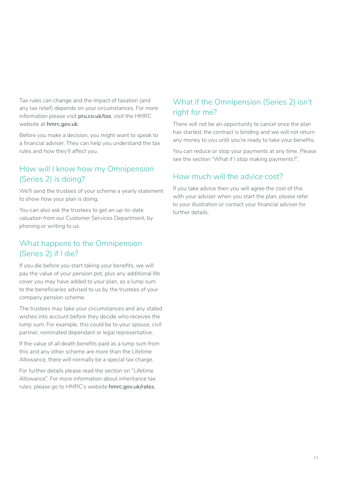<span id="page-10-0"></span>Tax rules can change and the impact of taxation (and any tax relief) depends on your circumstances. For more information please visit **pru.co.uk/tax**, visit the HMRC website at **hmrc.gov.uk**.

Before you make a decision, you might want to speak to a financial adviser. They can help you understand the tax rules and how they'll affect you.

## How will I know how my Omnipension (Series 2) is doing?

We'll send the trustees of your scheme a yearly statement to show how your plan is doing.

You can also ask the trustees to get an up-to-date valuation from our Customer Services Department, by phoning or writing to us.

## What happens to the Omnipension (Series 2) if I die?

If you die before you start taking your benefits, we will pay the value of your pension pot, plus any additional life cover you may have added to your plan, as a lump sum to the beneficiaries advised to us by the trustees of your company pension scheme.

The trustees may take your circumstances and any stated wishes into account before they decide who receives the lump sum. For example, this could be to your spouse, civil partner, nominated dependant or legal representative.

If the value of all death benefits paid as a lump sum from this and any other scheme are more than the Lifetime Allowance, there will normally be a special tax charge.

For further details please read the section on "Lifetime Allowance". For more information about inheritance tax rules, please go to HMRC's website **[hmrc.gov.uk/rates](http://www.hmrc.gov.uk/rates)**.

## What if the Omnipension (Series 2) isn't right for me?

There will not be an opportunity to cancel once the plan has started, the contract is binding and we will not return any money to you until you're ready to take your benefits.

You can reduce or stop your payments at any time. Please see the section "What if I stop making payments?".

## How much will the advice cost?

If you take advice then you will agree the cost of this with your adviser when you start the plan, please refer to your illustration or contact your financial adviser for further details.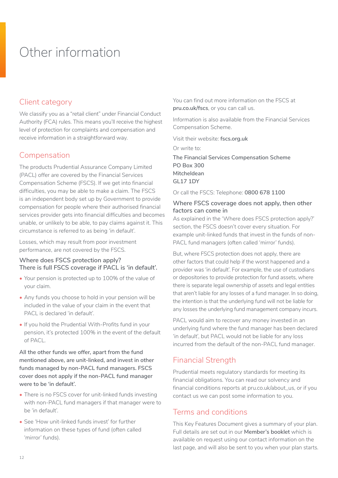# <span id="page-11-0"></span>Other information

## Client category

We classify you as a "retail client" under Financial Conduct Authority (FCA) rules. This means you'll receive the highest level of protection for complaints and compensation and receive information in a straightforward way.

## Compensation

The products Prudential Assurance Company Limited (PACL) offer are covered by the Financial Services Compensation Scheme (FSCS). If we get into financial difficulties, you may be able to make a claim. The FSCS is an independent body set up by Government to provide compensation for people where their authorised financial services provider gets into financial difficulties and becomes unable, or unlikely to be able, to pay claims against it. This circumstance is referred to as being 'in default'.

Losses, which may result from poor investment performance, are not covered by the FSCS.

## **Where does FSCS protection apply? There is full FSCS coverage if PACL is 'in default'.**

- Your pension is protected up to 100% of the value of your claim.
- Any funds you choose to hold in your pension will be included in the value of your claim in the event that PACL is declared 'in default'.
- If you hold the Prudential With-Profits fund in your pension, it's protected 100% in the event of the default of PACL.

**All the other funds we offer, apart from the fund mentioned above, are unit-linked, and invest in other funds managed by non-PACL fund managers. FSCS cover does not apply if the non-PACL fund manager were to be 'in default'.**

- There is no FSCS cover for unit-linked funds investing with non-PACL fund managers if that manager were to be 'in default'.
- See 'How unit-linked funds invest' for further information on these types of fund (often called 'mirror' funds).

You can find out more information on the FSCS at **[pru.co.uk/fscs](https://www.pru.co.uk/fscs/)**, or you can call us.

Information is also available from the Financial Services Compensation Scheme.

Visit their website: **[fscs.org.uk](https://www.fscs.org.uk/)**

Or write to:

**The Financial Services Compensation Scheme PO Box 300 Mitcheldean GL17 1DY**

Or call the FSCS: Telephone: **0800 678 1100**

## **Where FSCS coverage does not apply, then other factors can come in**

As explained in the 'Where does FSCS protection apply?' section, the FSCS doesn't cover every situation. For example unit-linked funds that invest in the funds of non-PACL fund managers (often called 'mirror' funds).

But, where FSCS protection does not apply, there are other factors that could help if the worst happened and a provider was 'in default'. For example, the use of custodians or depositories to provide protection for fund assets, where there is separate legal ownership of assets and legal entities that aren't liable for any losses of a fund manager. In so doing, the intention is that the underlying fund will not be liable for any losses the underlying fund management company incurs.

PACL would aim to recover any money invested in an underlying fund where the fund manager has been declared 'in default', but PACL would not be liable for any loss incurred from the default of the non-PACL fund manager.

## Financial Strength

Prudential meets regulatory standards for meeting its financial obligations. You can read our solvency and financial conditions reports at [pru.co.uk/about\\_us](https://www.pru.co.uk/about/?utm_source=redirect&utm_medium=301&utm_campaign=/about_us/), or if you contact us we can post some information to you.

## Terms and conditions

This Key Features Document gives a summary of your plan. Full details are set out in our **Member's booklet** which is available on request using our contact information on the last page, and will also be sent to you when your plan starts.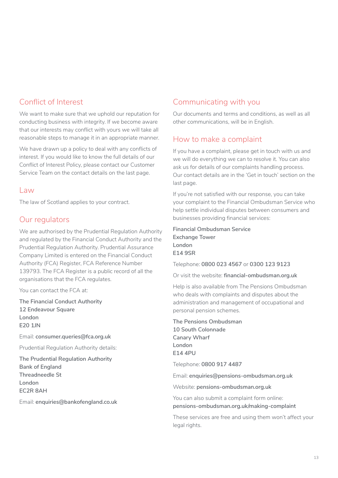## Conflict of Interest

We want to make sure that we uphold our reputation for conducting business with integrity. If we become aware that our interests may conflict with yours we will take all reasonable steps to manage it in an appropriate manner.

We have drawn up a policy to deal with any conflicts of interest. If you would like to know the full details of our Conflict of Interest Policy, please contact our Customer Service Team on the contact details on the last page.

## Law

The law of Scotland applies to your contract.

## Our regulators

We are authorised by the Prudential Regulation Authority and regulated by the Financial Conduct Authority and the Prudential Regulation Authority. Prudential Assurance Company Limited is entered on the Financial Conduct Authority (FCA) Register, FCA Reference Number 139793. The FCA Register is a public record of all the organisations that the FCA regulates.

You can contact the FCA at:

**The Financial Conduct Authority 12 Endeavour Square London E20 1JN**

Email: **consumer.queries@fca.org.uk**

Prudential Regulation Authority details:

**The Prudential Regulation Authority Bank of England Threadneedle St London EC2R 8AH**

Email: **enquiries@bankofengland.co.uk**

## Communicating with you

Our documents and terms and conditions, as well as all other communications, will be in English.

## How to make a complaint

If you have a complaint, please get in touch with us and we will do everything we can to resolve it. You can also ask us for details of our complaints handling process. Our contact details are in the 'Get in touch' section on the last page.

If you're not satisfied with our response, you can take your complaint to the Financial Ombudsman Service who help settle individual disputes between consumers and businesses providing financial services:

**Financial Ombudsman Service Exchange Tower London E14 9SR**

Telephone: **0800 023 4567** or **0300 123 9123**

Or visit the website: **[financial-ombudsman.org.uk](https://www.financial-ombudsman.org.uk/)**

Help is also available from The Pensions Ombudsman who deals with complaints and disputes about the administration and management of occupational and personal pension schemes.

**The Pensions Ombudsman 10 South Colonnade Canary Wharf London E14 4PU**

Telephone: **0800 917 4487**

Email: **enquiries@pensions-ombudsman.org.uk**

Website: **[pensions-ombudsman.org.uk](https://www.pensions-ombudsman.org.uk/)**

You can also submit a complaint form online: **[pensions-ombudsman.org.uk/making-complaint](https://www.pensions-ombudsman.org.uk/making-complaint)**

These services are free and using them won't affect your legal rights.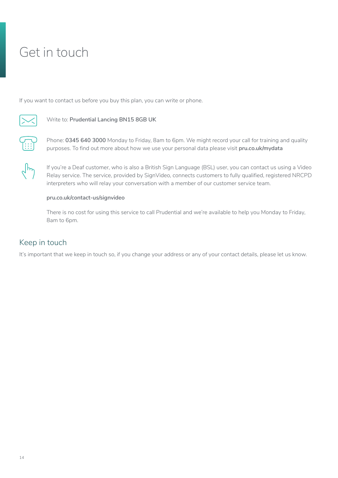# <span id="page-13-0"></span>Get in touch

If you want to contact us before you buy this plan, you can write or phone.



## Write to: **Prudential Lancing BN15 8GB UK**



Phone: **0345 640 3000** Monday to Friday, 8am to 6pm. We might record your call for training and quality purposes. To find out more about how we use your personal data please visit **[pru.co.uk/mydata](https://www.pru.co.uk/mydata/)**

If you're a Deaf customer, who is also a British Sign Language (BSL) user, you can contact us using a Video Relay service. The service, provided by SignVideo, connects customers to fully qualified, registered NRCPD interpreters who will relay your conversation with a member of our customer service team.

#### **[pru.co.uk/contact-us/signvideo](https://www.pru.co.uk/contact-us/signvideo)**

There is no cost for using this service to call Prudential and we're available to help you Monday to Friday, 8am to 6pm.

## Keep in touch

It's important that we keep in touch so, if you change your address or any of your contact details, please let us know.